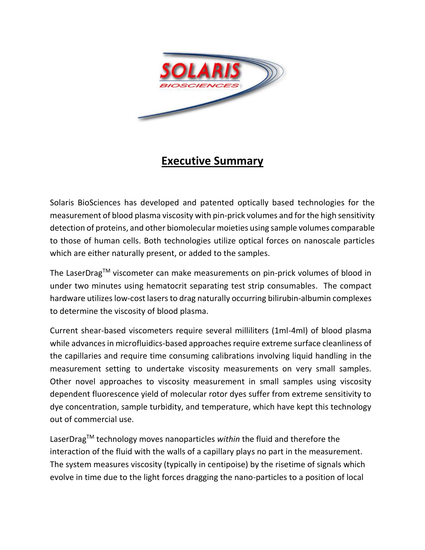

# **Executive Summary**

Solaris BioSciences has developed and patented optically based technologies for the measurement of blood plasma viscosity with pin-prick volumes and for the high sensitivity detection of proteins, and other biomolecular moieties using sample volumes comparable to those of human cells. Both technologies utilize optical forces on nanoscale particles which are either naturally present, or added to the samples.

The LaserDrag™ viscometer can make measurements on pin-prick volumes of blood in under two minutes using hematocrit separating test strip consumables. The compact hardware utilizes low-cost lasers to drag naturally occurring bilirubin-albumin complexes to determine the viscosity of blood plasma.

Current shear-based viscometers require several milliliters (1ml-4ml) of blood plasma while advances in microfluidics-based approaches require extreme surface cleanliness of the capillaries and require time consuming calibrations involving liquid handling in the measurement setting to undertake viscosity measurements on very small samples. Other novel approaches to viscosity measurement in small samples using viscosity dependent fluorescence yield of molecular rotor dyes suffer from extreme sensitivity to dye concentration, sample turbidity, and temperature, which have kept this technology out of commercial use.

LaserDragTM technology moves nanoparticles *within* the fluid and therefore the interaction of the fluid with the walls of a capillary plays no part in the measurement. The system measures viscosity (typically in centipoise) by the risetime of signals which evolve in time due to the light forces dragging the nano-particles to a position of local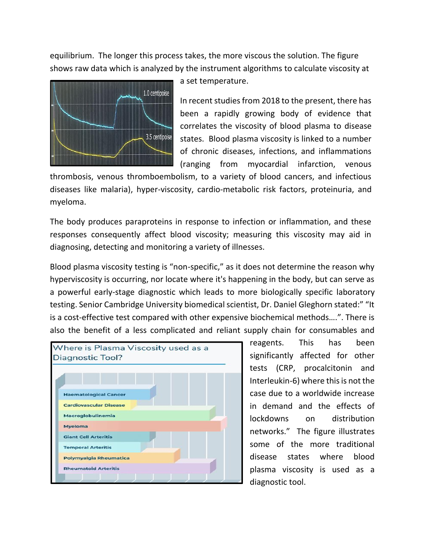equilibrium. The longer this process takes, the more viscous the solution. The figure shows raw data which is analyzed by the instrument algorithms to calculate viscosity at



a set temperature.

In recent studies from 2018 to the present, there has been a rapidly growing body of evidence that correlates the viscosity of blood plasma to disease states. Blood plasma viscosity is linked to a number of chronic diseases, infections, and inflammations (ranging from myocardial infarction, venous

thrombosis, venous thromboembolism, to a variety of blood cancers, and infectious diseases like malaria), hyper-viscosity, cardio-metabolic risk factors, proteinuria, and myeloma.

The body produces paraproteins in response to infection or inflammation, and these responses consequently affect blood viscosity; measuring this viscosity may aid in diagnosing, detecting and monitoring a variety of illnesses.

Blood plasma viscosity testing is "non-specific," as it does not determine the reason why hyperviscosity is occurring, nor locate where it's happening in the body, but can serve as a powerful early-stage diagnostic which leads to more biologically specific laboratory testing. Senior Cambridge University biomedical scientist, Dr. Daniel Gleghorn stated:" "It is a cost-effective test compared with other expensive biochemical methods….". There is also the benefit of a less complicated and reliant supply chain for consumables and



reagents. This has been significantly affected for other tests (CRP, procalcitonin and Interleukin-6) where this is not the case due to a worldwide increase in demand and the effects of lockdowns on distribution networks." The figure illustrates some of the more traditional disease states where blood plasma viscosity is used as a diagnostic tool.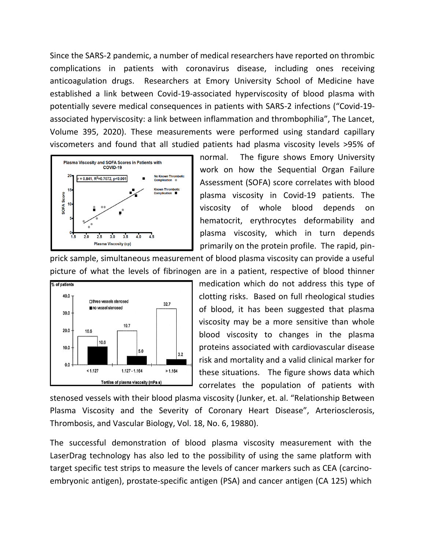Since the SARS-2 pandemic, a number of medical researchers have reported on thrombic complications in patients with coronavirus disease, including ones receiving anticoagulation drugs. Researchers at Emory University School of Medicine have established a link between Covid-19-associated hyperviscosity of blood plasma with potentially severe medical consequences in patients with SARS-2 infections ("Covid-19 associated hyperviscosity: a link between inflammation and thrombophilia", The Lancet, Volume 395, 2020). These measurements were performed using standard capillary viscometers and found that all studied patients had plasma viscosity levels >95% of



normal. The figure shows Emory University work on how the Sequential Organ Failure Assessment (SOFA) score correlates with blood plasma viscosity in Covid-19 patients. The viscosity of whole blood depends on hematocrit, erythrocytes deformability and plasma viscosity, which in turn depends primarily on the protein profile. The rapid, pin-

prick sample, simultaneous measurement of blood plasma viscosity can provide a useful picture of what the levels of fibrinogen are in a patient, respective of blood thinner



medication which do not address this type of clotting risks. Based on full rheological studies of blood, it has been suggested that plasma viscosity may be a more sensitive than whole blood viscosity to changes in the plasma proteins associated with cardiovascular disease risk and mortality and a valid clinical marker for these situations. The figure shows data which correlates the population of patients with

stenosed vessels with their blood plasma viscosity (Junker, et. al. "Relationship Between Plasma Viscosity and the Severity of Coronary Heart Disease", [Arteriosclerosis,](https://www.ahajournals.org/journal/atvb)  [Thrombosis, and Vascular Biology,](https://www.ahajournals.org/journal/atvb) [Vol. 18, No. 6,](https://www.ahajournals.org/toc/atvb/18/6) 19880).

The successful demonstration of blood plasma viscosity measurement with the LaserDrag technology has also led to the possibility of using the same platform with target specific test strips to measure the levels of cancer markers such as CEA (carcinoembryonic antigen), prostate-specific antigen (PSA) and cancer antigen (CA 125) which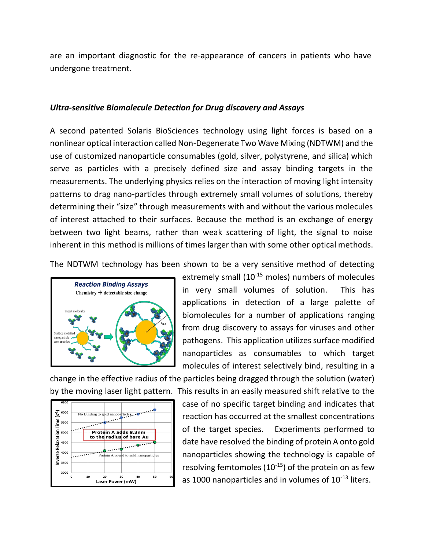are an important diagnostic for the re-appearance of cancers in patients who have undergone treatment.

## *Ultra-sensitive Biomolecule Detection for Drug discovery and Assays*

A second patented Solaris BioSciences technology using light forces is based on a nonlinear optical interaction called Non-Degenerate Two Wave Mixing (NDTWM) and the use of customized nanoparticle consumables (gold, silver, polystyrene, and silica) which serve as particles with a precisely defined size and assay binding targets in the measurements. The underlying physics relies on the interaction of moving light intensity patterns to drag nano-particles through extremely small volumes of solutions, thereby determining their "size" through measurements with and without the various molecules of interest attached to their surfaces. Because the method is an exchange of energy between two light beams, rather than weak scattering of light, the signal to noise inherent in this method is millions of times larger than with some other optical methods.

The NDTWM technology has been shown to be a very sensitive method of detecting



extremely small (10<sup>-15</sup> moles) numbers of molecules in very small volumes of solution. This has applications in detection of a large palette of biomolecules for a number of applications ranging from drug discovery to assays for viruses and other pathogens. This application utilizes surface modified nanoparticles as consumables to which target molecules of interest selectively bind, resulting in a

change in the effective radius of the particles being dragged through the solution (water) by the moving laser light pattern. This results in an easily measured shift relative to the



case of no specific target binding and indicates that reaction has occurred at the smallest concentrations of the target species. Experiments performed to date have resolved the binding of protein A onto gold nanoparticles showing the technology is capable of resolving femtomoles  $(10^{-15})$  of the protein on as few as 1000 nanoparticles and in volumes of  $10^{-13}$  liters.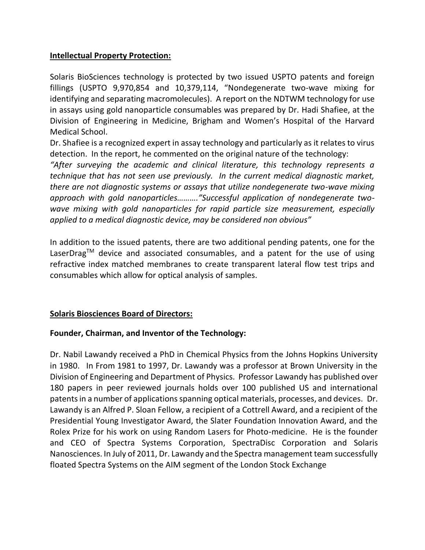# **Intellectual Property Protection:**

Solaris BioSciences technology is protected by two issued USPTO patents and foreign fillings (USPTO 9,970,854 and 10,379,114, "Nondegenerate two-wave mixing for identifying and separating macromolecules). A report on the NDTWM technology for use in assays using gold nanoparticle consumables was prepared by Dr. Hadi Shafiee, at the Division of Engineering in Medicine, Brigham and Women's Hospital of the Harvard Medical School.

Dr. Shafiee is a recognized expert in assay technology and particularly as it relates to virus detection. In the report, he commented on the original nature of the technology:

*"After surveying the academic and clinical literature, this technology represents a technique that has not seen use previously. In the current medical diagnostic market, there are not diagnostic systems or assays that utilize nondegenerate two-wave mixing approach with gold nanoparticles………."Successful application of nondegenerate twowave mixing with gold nanoparticles for rapid particle size measurement, especially applied to a medical diagnostic device, may be considered non obvious"*

In addition to the issued patents, there are two additional pending patents, one for the LaserDrag<sup>TM</sup> device and associated consumables, and a patent for the use of using refractive index matched membranes to create transparent lateral flow test trips and consumables which allow for optical analysis of samples.

# **Solaris Biosciences Board of Directors:**

# **Founder, Chairman, and Inventor of the Technology:**

Dr. Nabil Lawandy received a PhD in Chemical Physics from the Johns Hopkins University in 1980. In From 1981 to 1997, Dr. Lawandy was a professor at Brown University in the Division of Engineering and Department of Physics. Professor Lawandy has published over 180 papers in peer reviewed journals holds over 100 published US and international patents in a number of applications spanning optical materials, processes, and devices. Dr. Lawandy is an Alfred P. Sloan Fellow, a recipient of a Cottrell Award, and a recipient of the Presidential Young Investigator Award, the Slater Foundation Innovation Award, and the Rolex Prize for his work on using Random Lasers for Photo-medicine. He is the founder and CEO of Spectra Systems Corporation, SpectraDisc Corporation and Solaris Nanosciences. In July of 2011, Dr. Lawandy and the Spectra management team successfully floated Spectra Systems on the AIM segment of the London Stock Exchange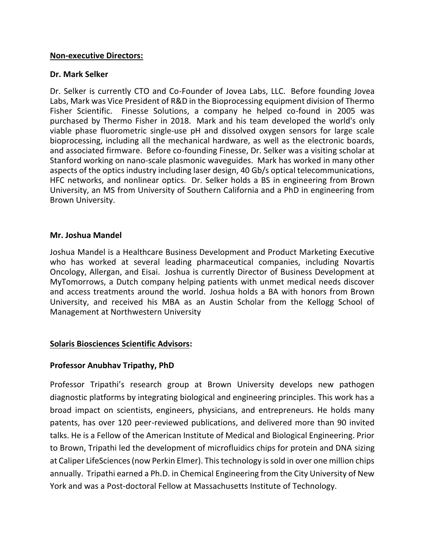#### **Non-executive Directors:**

#### **Dr. Mark Selker**

Dr. Selker is currently CTO and Co-Founder of Jovea Labs, LLC. Before founding Jovea Labs, Mark was Vice President of R&D in the Bioprocessing equipment division of Thermo Fisher Scientific. Finesse Solutions, a company he helped co-found in 2005 was purchased by Thermo Fisher in 2018. Mark and his team developed the world's only viable phase fluorometric single-use pH and dissolved oxygen sensors for large scale bioprocessing, including all the mechanical hardware, as well as the electronic boards, and associated firmware. Before co-founding Finesse, Dr. Selker was a visiting scholar at Stanford working on nano-scale plasmonic waveguides. Mark has worked in many other aspects of the optics industry including laser design, 40 Gb/s optical telecommunications, HFC networks, and nonlinear optics. Dr. Selker holds a BS in engineering from Brown University, an MS from University of Southern California and a PhD in engineering from Brown University.

#### **Mr. Joshua Mandel**

Joshua Mandel is a Healthcare Business Development and Product Marketing Executive who has worked at several leading pharmaceutical companies, including Novartis Oncology, Allergan, and Eisai. Joshua is currently Director of Business Development at MyTomorrows, a Dutch company helping patients with unmet medical needs discover and access treatments around the world. Joshua holds a BA with honors from Brown University, and received his MBA as an Austin Scholar from the Kellogg School of Management at Northwestern University

## **Solaris Biosciences Scientific Advisors:**

## **Professor Anubhav Tripathy, PhD**

Professor Tripathi's research group at Brown University develops new pathogen diagnostic platforms by integrating biological and engineering principles. This work has a broad impact on scientists, engineers, physicians, and entrepreneurs. He holds many patents, has over 120 peer-reviewed publications, and delivered more than 90 invited talks. He is a Fellow of the American Institute of Medical and Biological Engineering. Prior to Brown, Tripathi led the development of microfluidics chips for protein and DNA sizing at Caliper LifeSciences (now Perkin Elmer). This technology is sold in over one million chips annually. Tripathi earned a Ph.D. in Chemical Engineering from the City University of New York and was a Post-doctoral Fellow at Massachusetts Institute of Technology.